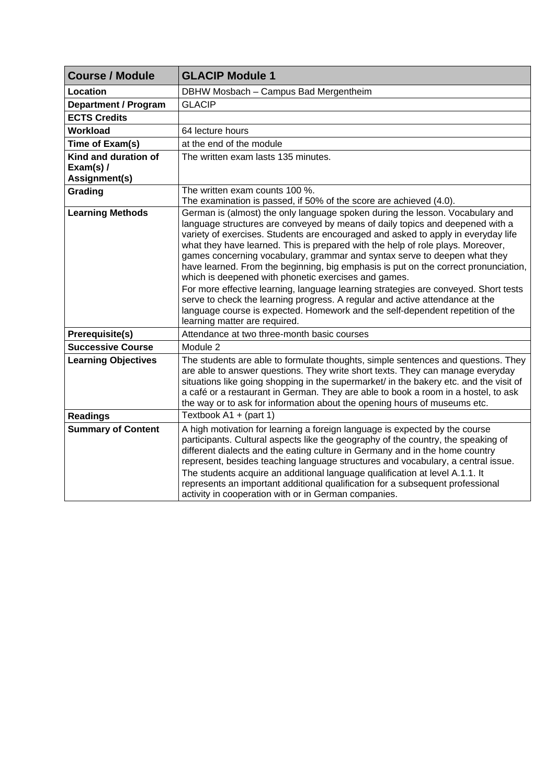| <b>Course / Module</b>                             | <b>GLACIP Module 1</b>                                                                                                                                                                                                                                                                                                                                                                                                                                                                                                                                                                                                                                                                                                                                                                                                                                       |
|----------------------------------------------------|--------------------------------------------------------------------------------------------------------------------------------------------------------------------------------------------------------------------------------------------------------------------------------------------------------------------------------------------------------------------------------------------------------------------------------------------------------------------------------------------------------------------------------------------------------------------------------------------------------------------------------------------------------------------------------------------------------------------------------------------------------------------------------------------------------------------------------------------------------------|
| Location                                           | DBHW Mosbach - Campus Bad Mergentheim                                                                                                                                                                                                                                                                                                                                                                                                                                                                                                                                                                                                                                                                                                                                                                                                                        |
| <b>Department / Program</b>                        | <b>GLACIP</b>                                                                                                                                                                                                                                                                                                                                                                                                                                                                                                                                                                                                                                                                                                                                                                                                                                                |
| <b>ECTS Credits</b>                                |                                                                                                                                                                                                                                                                                                                                                                                                                                                                                                                                                                                                                                                                                                                                                                                                                                                              |
| <b>Workload</b>                                    | 64 lecture hours                                                                                                                                                                                                                                                                                                                                                                                                                                                                                                                                                                                                                                                                                                                                                                                                                                             |
| Time of Exam(s)                                    | at the end of the module                                                                                                                                                                                                                                                                                                                                                                                                                                                                                                                                                                                                                                                                                                                                                                                                                                     |
| Kind and duration of<br>Exam(s) /<br>Assignment(s) | The written exam lasts 135 minutes.                                                                                                                                                                                                                                                                                                                                                                                                                                                                                                                                                                                                                                                                                                                                                                                                                          |
| Grading                                            | The written exam counts 100 %.<br>The examination is passed, if 50% of the score are achieved (4.0).                                                                                                                                                                                                                                                                                                                                                                                                                                                                                                                                                                                                                                                                                                                                                         |
| <b>Learning Methods</b>                            | German is (almost) the only language spoken during the lesson. Vocabulary and<br>language structures are conveyed by means of daily topics and deepened with a<br>variety of exercises. Students are encouraged and asked to apply in everyday life<br>what they have learned. This is prepared with the help of role plays. Moreover,<br>games concerning vocabulary, grammar and syntax serve to deepen what they<br>have learned. From the beginning, big emphasis is put on the correct pronunciation,<br>which is deepened with phonetic exercises and games.<br>For more effective learning, language learning strategies are conveyed. Short tests<br>serve to check the learning progress. A regular and active attendance at the<br>language course is expected. Homework and the self-dependent repetition of the<br>learning matter are required. |
| Prerequisite(s)                                    | Attendance at two three-month basic courses                                                                                                                                                                                                                                                                                                                                                                                                                                                                                                                                                                                                                                                                                                                                                                                                                  |
| <b>Successive Course</b>                           | Module 2                                                                                                                                                                                                                                                                                                                                                                                                                                                                                                                                                                                                                                                                                                                                                                                                                                                     |
| <b>Learning Objectives</b>                         | The students are able to formulate thoughts, simple sentences and questions. They<br>are able to answer questions. They write short texts. They can manage everyday<br>situations like going shopping in the supermarket/ in the bakery etc. and the visit of<br>a café or a restaurant in German. They are able to book a room in a hostel, to ask<br>the way or to ask for information about the opening hours of museums etc.                                                                                                                                                                                                                                                                                                                                                                                                                             |
| <b>Readings</b>                                    | Textbook $A1 + (part 1)$                                                                                                                                                                                                                                                                                                                                                                                                                                                                                                                                                                                                                                                                                                                                                                                                                                     |
| <b>Summary of Content</b>                          | A high motivation for learning a foreign language is expected by the course<br>participants. Cultural aspects like the geography of the country, the speaking of<br>different dialects and the eating culture in Germany and in the home country<br>represent, besides teaching language structures and vocabulary, a central issue.<br>The students acquire an additional language qualification at level A.1.1. It<br>represents an important additional qualification for a subsequent professional<br>activity in cooperation with or in German companies.                                                                                                                                                                                                                                                                                               |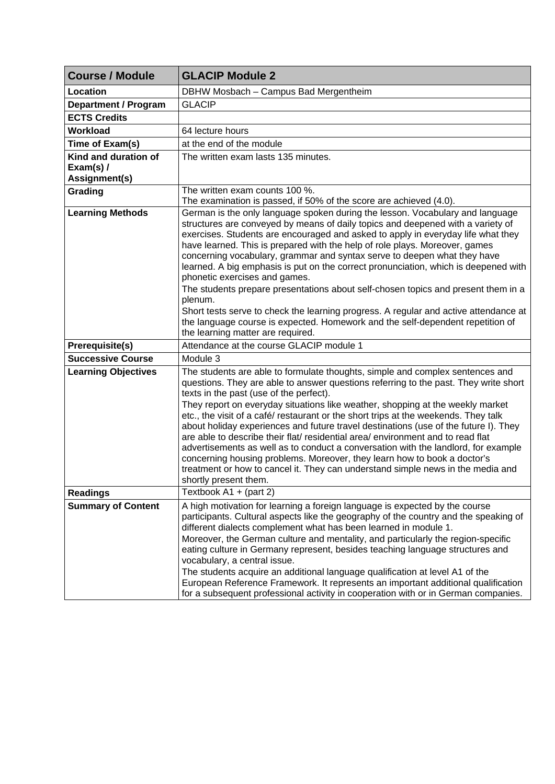| <b>Course / Module</b>                                    | <b>GLACIP Module 2</b>                                                                                                                                                                                                                                                                                                                                                                                                                                                                                                                                                                                                                                                                                                                                                                                                                                 |
|-----------------------------------------------------------|--------------------------------------------------------------------------------------------------------------------------------------------------------------------------------------------------------------------------------------------------------------------------------------------------------------------------------------------------------------------------------------------------------------------------------------------------------------------------------------------------------------------------------------------------------------------------------------------------------------------------------------------------------------------------------------------------------------------------------------------------------------------------------------------------------------------------------------------------------|
| Location                                                  | DBHW Mosbach - Campus Bad Mergentheim                                                                                                                                                                                                                                                                                                                                                                                                                                                                                                                                                                                                                                                                                                                                                                                                                  |
| <b>Department / Program</b>                               | <b>GLACIP</b>                                                                                                                                                                                                                                                                                                                                                                                                                                                                                                                                                                                                                                                                                                                                                                                                                                          |
| <b>ECTS Credits</b>                                       |                                                                                                                                                                                                                                                                                                                                                                                                                                                                                                                                                                                                                                                                                                                                                                                                                                                        |
| Workload                                                  | 64 lecture hours                                                                                                                                                                                                                                                                                                                                                                                                                                                                                                                                                                                                                                                                                                                                                                                                                                       |
| Time of Exam(s)                                           | at the end of the module                                                                                                                                                                                                                                                                                                                                                                                                                                                                                                                                                                                                                                                                                                                                                                                                                               |
| Kind and duration of<br>Exam(s) $\prime$<br>Assignment(s) | The written exam lasts 135 minutes.                                                                                                                                                                                                                                                                                                                                                                                                                                                                                                                                                                                                                                                                                                                                                                                                                    |
| Grading                                                   | The written exam counts 100 %.<br>The examination is passed, if 50% of the score are achieved (4.0).                                                                                                                                                                                                                                                                                                                                                                                                                                                                                                                                                                                                                                                                                                                                                   |
| <b>Learning Methods</b>                                   | German is the only language spoken during the lesson. Vocabulary and language<br>structures are conveyed by means of daily topics and deepened with a variety of<br>exercises. Students are encouraged and asked to apply in everyday life what they<br>have learned. This is prepared with the help of role plays. Moreover, games<br>concerning vocabulary, grammar and syntax serve to deepen what they have<br>learned. A big emphasis is put on the correct pronunciation, which is deepened with<br>phonetic exercises and games.<br>The students prepare presentations about self-chosen topics and present them in a<br>plenum.<br>Short tests serve to check the learning progress. A regular and active attendance at<br>the language course is expected. Homework and the self-dependent repetition of<br>the learning matter are required. |
| <b>Prerequisite(s)</b>                                    | Attendance at the course GLACIP module 1                                                                                                                                                                                                                                                                                                                                                                                                                                                                                                                                                                                                                                                                                                                                                                                                               |
| <b>Successive Course</b>                                  | Module 3                                                                                                                                                                                                                                                                                                                                                                                                                                                                                                                                                                                                                                                                                                                                                                                                                                               |
| <b>Learning Objectives</b>                                | The students are able to formulate thoughts, simple and complex sentences and<br>questions. They are able to answer questions referring to the past. They write short<br>texts in the past (use of the perfect).<br>They report on everyday situations like weather, shopping at the weekly market<br>etc., the visit of a café/ restaurant or the short trips at the weekends. They talk<br>about holiday experiences and future travel destinations (use of the future I). They<br>are able to describe their flat/ residential area/ environment and to read flat<br>advertisements as well as to conduct a conversation with the landlord, for example<br>concerning housing problems. Moreover, they learn how to book a doctor's<br>treatment or how to cancel it. They can understand simple news in the media and<br>shortly present them.     |
| <b>Readings</b>                                           | Textbook $A1 + (part 2)$                                                                                                                                                                                                                                                                                                                                                                                                                                                                                                                                                                                                                                                                                                                                                                                                                               |
| <b>Summary of Content</b>                                 | A high motivation for learning a foreign language is expected by the course<br>participants. Cultural aspects like the geography of the country and the speaking of<br>different dialects complement what has been learned in module 1.<br>Moreover, the German culture and mentality, and particularly the region-specific<br>eating culture in Germany represent, besides teaching language structures and<br>vocabulary, a central issue.<br>The students acquire an additional language qualification at level A1 of the<br>European Reference Framework. It represents an important additional qualification<br>for a subsequent professional activity in cooperation with or in German companies.                                                                                                                                                |